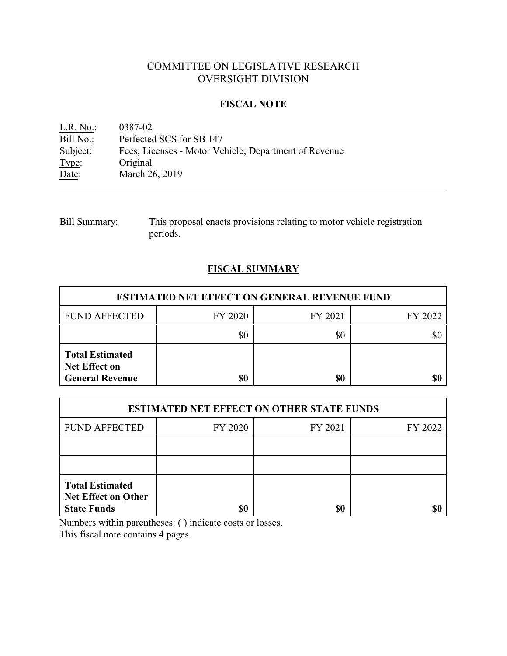# COMMITTEE ON LEGISLATIVE RESEARCH OVERSIGHT DIVISION

### **FISCAL NOTE**

<u>L.R. No.</u>: 0387-02<br>
<u>Bill No.</u>: Perfected Bill No.: Perfected SCS for SB 147<br>Subject: Fees; Licenses - Motor Vel Subject: Fees; Licenses - Motor Vehicle; Department of Revenue<br>Type: Original Type: Original<br>Date: March 26 March 26, 2019

| <b>Bill Summary:</b> | This proposal enacts provisions relating to motor vehicle registration |
|----------------------|------------------------------------------------------------------------|
|                      | periods.                                                               |

## **FISCAL SUMMARY**

| <b>ESTIMATED NET EFFECT ON GENERAL REVENUE FUND</b>                      |         |         |         |  |
|--------------------------------------------------------------------------|---------|---------|---------|--|
| <b>FUND AFFECTED</b>                                                     | FY 2020 | FY 2021 | FY 2022 |  |
|                                                                          | \$0     | \$0     |         |  |
| <b>Total Estimated</b><br><b>Net Effect on</b><br><b>General Revenue</b> | \$0     | \$0     |         |  |

| <b>ESTIMATED NET EFFECT ON OTHER STATE FUNDS</b>                           |         |         |         |  |
|----------------------------------------------------------------------------|---------|---------|---------|--|
| <b>FUND AFFECTED</b>                                                       | FY 2020 | FY 2021 | FY 2022 |  |
|                                                                            |         |         |         |  |
|                                                                            |         |         |         |  |
| <b>Total Estimated</b><br><b>Net Effect on Other</b><br><b>State Funds</b> | \$0     | \$0     |         |  |

Numbers within parentheses: ( ) indicate costs or losses.

This fiscal note contains 4 pages.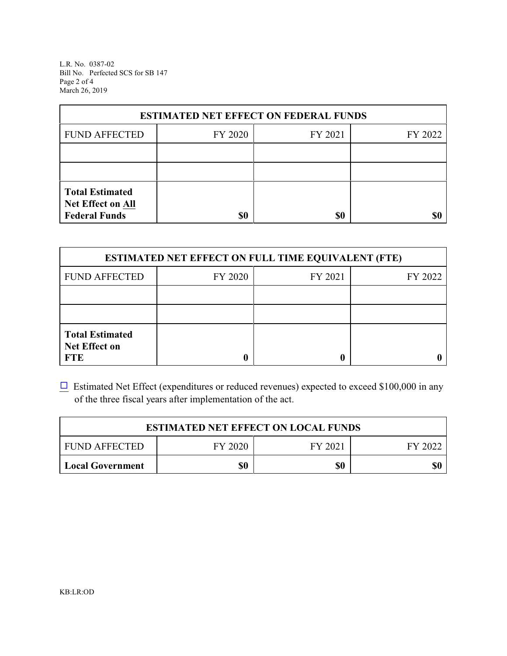L.R. No. 0387-02 Bill No. Perfected SCS for SB 147 Page 2 of 4 March 26, 2019

| <b>ESTIMATED NET EFFECT ON FEDERAL FUNDS</b>                        |         |         |         |  |
|---------------------------------------------------------------------|---------|---------|---------|--|
| <b>FUND AFFECTED</b>                                                | FY 2020 | FY 2021 | FY 2022 |  |
|                                                                     |         |         |         |  |
|                                                                     |         |         |         |  |
| <b>Total Estimated</b><br>Net Effect on All<br><b>Federal Funds</b> | \$0     | \$0     | SI)     |  |

| <b>ESTIMATED NET EFFECT ON FULL TIME EQUIVALENT (FTE)</b>    |         |         |         |  |
|--------------------------------------------------------------|---------|---------|---------|--|
| <b>FUND AFFECTED</b>                                         | FY 2020 | FY 2021 | FY 2022 |  |
|                                                              |         |         |         |  |
|                                                              |         |         |         |  |
| <b>Total Estimated</b><br><b>Net Effect on</b><br><b>FTE</b> |         |         |         |  |

 $\Box$  Estimated Net Effect (expenditures or reduced revenues) expected to exceed \$100,000 in any of the three fiscal years after implementation of the act.

| <b>ESTIMATED NET EFFECT ON LOCAL FUNDS</b> |         |         |     |
|--------------------------------------------|---------|---------|-----|
| <b>FUND AFFECTED</b>                       | FY 2021 | FY 2022 |     |
| Local Government                           | \$0     | \$0     | \$0 |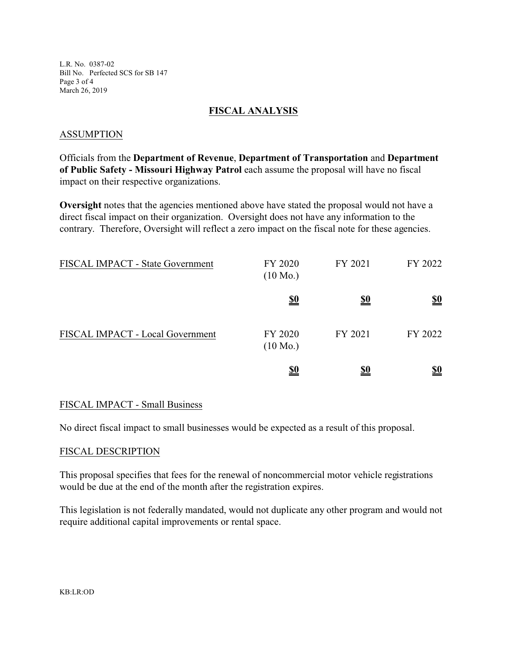L.R. No. 0387-02 Bill No. Perfected SCS for SB 147 Page 3 of 4 March 26, 2019

### **FISCAL ANALYSIS**

#### ASSUMPTION

Officials from the **Department of Revenue**, **Department of Transportation** and **Department of Public Safety - Missouri Highway Patrol** each assume the proposal will have no fiscal impact on their respective organizations.

**Oversight** notes that the agencies mentioned above have stated the proposal would not have a direct fiscal impact on their organization. Oversight does not have any information to the contrary. Therefore, Oversight will reflect a zero impact on the fiscal note for these agencies.

| FISCAL IMPACT - State Government | FY 2020<br>$(10 \text{ Mo.})$ | FY 2021    | FY 2022    |
|----------------------------------|-------------------------------|------------|------------|
|                                  | <u>\$0</u>                    | <u>\$0</u> | <u>\$0</u> |
| FISCAL IMPACT - Local Government | FY 2020<br>$(10 \text{ Mo.})$ | FY 2021    | FY 2022    |
|                                  | <u>\$0</u>                    | \$0        | <u>\$0</u> |

### FISCAL IMPACT - Small Business

No direct fiscal impact to small businesses would be expected as a result of this proposal.

#### FISCAL DESCRIPTION

This proposal specifies that fees for the renewal of noncommercial motor vehicle registrations would be due at the end of the month after the registration expires.

This legislation is not federally mandated, would not duplicate any other program and would not require additional capital improvements or rental space.